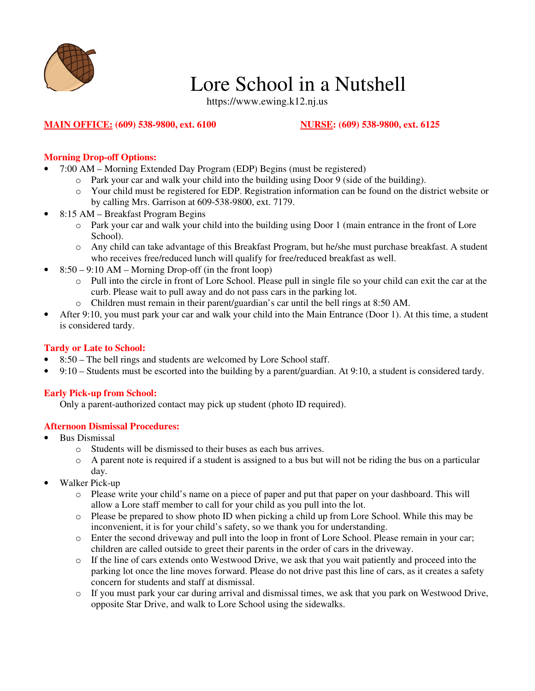

# Lore School in a Nutshell

https://www.ewing.k12.nj.us

## **MAIN OFFICE: (609) 538-9800, ext. 6100 NURSE: (609) 538-9800, ext. 6125**

# **Morning Drop-off Options:**

- 7:00 AM Morning Extended Day Program (EDP) Begins (must be registered)
	- o Park your car and walk your child into the building using Door 9 (side of the building).
	- o Your child must be registered for EDP. Registration information can be found on the district website or by calling Mrs. Garrison at 609-538-9800, ext. 7179.
- 8:15 AM Breakfast Program Begins
	- o Park your car and walk your child into the building using Door 1 (main entrance in the front of Lore School).
	- o Any child can take advantage of this Breakfast Program, but he/she must purchase breakfast. A student who receives free/reduced lunch will qualify for free/reduced breakfast as well.
- $8:50 9:10$  AM Morning Drop-off (in the front loop)
	- o Pull into the circle in front of Lore School. Please pull in single file so your child can exit the car at the curb. Please wait to pull away and do not pass cars in the parking lot.
	- o Children must remain in their parent/guardian's car until the bell rings at 8:50 AM.
- After 9:10, you must park your car and walk your child into the Main Entrance (Door 1). At this time, a student is considered tardy.

### **Tardy or Late to School:**

- 8:50 The bell rings and students are welcomed by Lore School staff.
- 9:10 Students must be escorted into the building by a parent/guardian. At 9:10, a student is considered tardy.

### **Early Pick-up from School:**

Only a parent-authorized contact may pick up student (photo ID required).

### **Afternoon Dismissal Procedures:**

- Bus Dismissal
	- o Students will be dismissed to their buses as each bus arrives.
	- o A parent note is required if a student is assigned to a bus but will not be riding the bus on a particular day.
- Walker Pick-up
	- o Please write your child's name on a piece of paper and put that paper on your dashboard. This will allow a Lore staff member to call for your child as you pull into the lot.
	- $\circ$  Please be prepared to show photo ID when picking a child up from Lore School. While this may be inconvenient, it is for your child's safety, so we thank you for understanding.
	- o Enter the second driveway and pull into the loop in front of Lore School. Please remain in your car; children are called outside to greet their parents in the order of cars in the driveway.
	- o If the line of cars extends onto Westwood Drive, we ask that you wait patiently and proceed into the parking lot once the line moves forward. Please do not drive past this line of cars, as it creates a safety concern for students and staff at dismissal.
	- o If you must park your car during arrival and dismissal times, we ask that you park on Westwood Drive, opposite Star Drive, and walk to Lore School using the sidewalks.